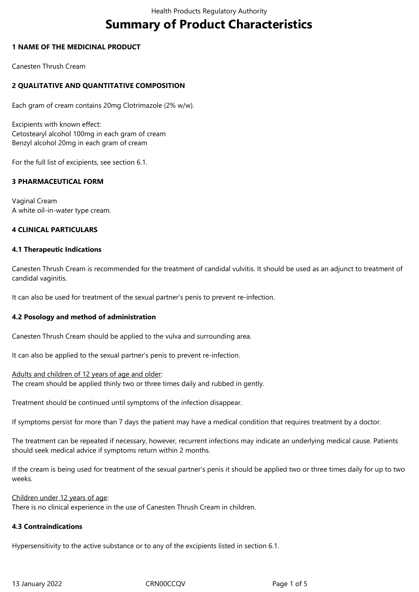# **Summary of Product Characteristics**

# **1 NAME OF THE MEDICINAL PRODUCT**

Canesten Thrush Cream

# **2 QUALITATIVE AND QUANTITATIVE COMPOSITION**

Each gram of cream contains 20mg Clotrimazole (2% w/w).

Excipients with known effect: Cetostearyl alcohol 100mg in each gram of cream Benzyl alcohol 20mg in each gram of cream

For the full list of excipients, see section 6.1.

# **3 PHARMACEUTICAL FORM**

Vaginal Cream A white oil-in-water type cream.

# **4 CLINICAL PARTICULARS**

#### **4.1 Therapeutic Indications**

Canesten Thrush Cream is recommended for the treatment of candidal vulvitis. It should be used as an adjunct to treatment of candidal vaginitis.

It can also be used for treatment of the sexual partner's penis to prevent re-infection.

#### **4.2 Posology and method of administration**

Canesten Thrush Cream should be applied to the vulva and surrounding area.

It can also be applied to the sexual partner's penis to prevent re-infection.

#### Adults and children of 12 years of age and older:

The cream should be applied thinly two or three times daily and rubbed in gently.

Treatment should be continued until symptoms of the infection disappear.

If symptoms persist for more than 7 days the patient may have a medical condition that requires treatment by a doctor.

The treatment can be repeated if necessary, however, recurrent infections may indicate an underlying medical cause. Patients should seek medical advice if symptoms return within 2 months.

If the cream is being used for treatment of the sexual partner's penis it should be applied two or three times daily for up to two weeks.

#### Children under 12 years of age:

There is no clinical experience in the use of Canesten Thrush Cream in children.

#### **4.3 Contraindications**

Hypersensitivity to the active substance or to any of the excipients listed in section 6.1.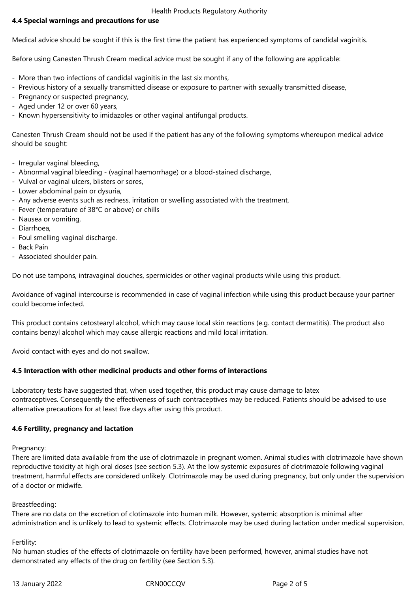Health Products Regulatory Authority

# **4.4 Special warnings and precautions for use**

Medical advice should be sought if this is the first time the patient has experienced symptoms of candidal vaginitis.

Before using Canesten Thrush Cream medical advice must be sought if any of the following are applicable:

- More than two infections of candidal vaginitis in the last six months,
- Previous history of a sexually transmitted disease or exposure to partner with sexually transmitted disease,
- Pregnancy or suspected pregnancy,
- Aged under 12 or over 60 years,
- Known hypersensitivity to imidazoles or other vaginal antifungal products.

Canesten Thrush Cream should not be used if the patient has any of the following symptoms whereupon medical advice should be sought:

- Irregular vaginal bleeding,
- Abnormal vaginal bleeding (vaginal haemorrhage) or a blood-stained discharge,
- Vulval or vaginal ulcers, blisters or sores,
- Lower abdominal pain or dysuria,
- Any adverse events such as redness, irritation or swelling associated with the treatment,
- Fever (temperature of 38°C or above) or chills
- Nausea or vomiting,
- Diarrhoea,
- Foul smelling vaginal discharge.
- Back Pain
- Associated shoulder pain.

Do not use tampons, intravaginal douches, spermicides or other vaginal products while using this product.

Avoidance of vaginal intercourse is recommended in case of vaginal infection while using this product because your partner could become infected.

This product contains cetostearyl alcohol, which may cause local skin reactions (e.g. contact dermatitis). The product also contains benzyl alcohol which may cause allergic reactions and mild local irritation.

Avoid contact with eyes and do not swallow.

# **4.5 Interaction with other medicinal products and other forms of interactions**

Laboratory tests have suggested that, when used together, this product may cause damage to latex contraceptives. Consequently the effectiveness of such contraceptives may be reduced. Patients should be advised to use alternative precautions for at least five days after using this product.

#### **4.6 Fertility, pregnancy and lactation**

Pregnancy:

There are limited data available from the use of clotrimazole in pregnant women. Animal studies with clotrimazole have shown reproductive toxicity at high oral doses (see section 5.3). At the low systemic exposures of clotrimazole following vaginal treatment, harmful effects are considered unlikely. Clotrimazole may be used during pregnancy, but only under the supervision of a doctor or midwife.

#### Breastfeeding:

There are no data on the excretion of clotimazole into human milk. However, systemic absorption is minimal after administration and is unlikely to lead to systemic effects. Clotrimazole may be used during lactation under medical supervision.

# Fertility:

No human studies of the effects of clotrimazole on fertility have been performed, however, animal studies have not demonstrated any effects of the drug on fertility (see Section 5.3).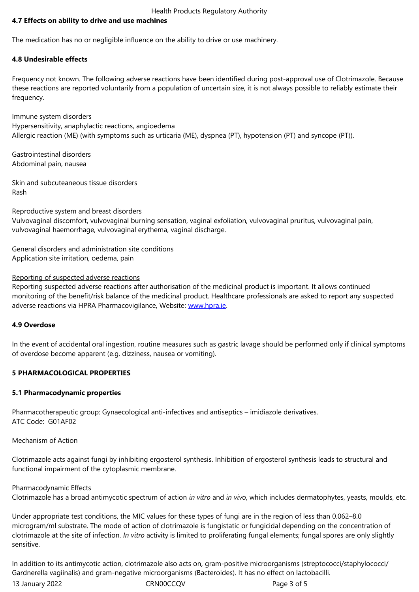The medication has no or negligible influence on the ability to drive or use machinery.

# **4.8 Undesirable effects**

Frequency not known. The following adverse reactions have been identified during post-approval use of Clotrimazole. Because these reactions are reported voluntarily from a population of uncertain size, it is not always possible to reliably estimate their frequency.

Immune system disorders Hypersensitivity, anaphylactic reactions, angioedema Allergic reaction (ME) (with symptoms such as urticaria (ME), dyspnea (PT), hypotension (PT) and syncope (PT)).

Gastrointestinal disorders Abdominal pain, nausea

Skin and subcuteaneous tissue disorders Rash

Reproductive system and breast disorders

Vulvovaginal discomfort, vulvovaginal burning sensation, vaginal exfoliation, vulvovaginal pruritus, vulvovaginal pain, vulvovaginal haemorrhage, vulvovaginal erythema, vaginal discharge.

General disorders and administration site conditions Application site irritation, oedema, pain

#### Reporting of suspected adverse reactions

Reporting suspected adverse reactions after authorisation of the medicinal product is important. It allows continued monitoring of the benefit/risk balance of the medicinal product. Healthcare professionals are asked to report any suspected adverse reactions via HPRA Pharmacovigilance, Website: www.hpra.ie.

### **4.9 Overdose**

In the event of accidental oral ingestion, routine measure[s such as gas](http://www.hpra.ie/)tric lavage should be performed only if clinical symptoms of overdose become apparent (e.g. dizziness, nausea or vomiting).

### **5 PHARMACOLOGICAL PROPERTIES**

#### **5.1 Pharmacodynamic properties**

Pharmacotherapeutic group: Gynaecological anti-infectives and antiseptics – imidiazole derivatives. ATC Code: G01AF02

Mechanism of Action

Clotrimazole acts against fungi by inhibiting ergosterol synthesis. Inhibition of ergosterol synthesis leads to structural and functional impairment of the cytoplasmic membrane.

Pharmacodynamic Effects Clotrimazole has a broad antimycotic spectrum of action *in vitro* and *in vivo*, which includes dermatophytes, yeasts, moulds, etc.

Under appropriate test conditions, the MIC values for these types of fungi are in the region of less than 0.062–8.0 microgram/ml substrate. The mode of action of clotrimazole is fungistatic or fungicidal depending on the concentration of clotrimazole at the site of infection. *In vitro* activity is limited to proliferating fungal elements; fungal spores are only slightly sensitive.

13 January 2022 CRN00CCQV Page 3 of 5 In addition to its antimycotic action, clotrimazole also acts on*,* gram-positive microorganisms (streptococci/staphylococci/ Gardnerella vagiinalis) and gram-negative microorganisms (Bacteroides). It has no effect on lactobacilli.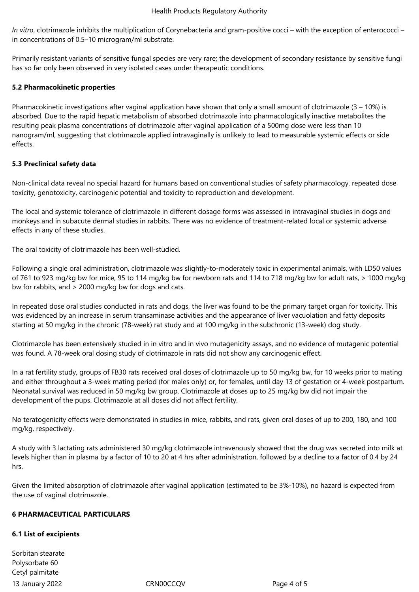*In vitro*, clotrimazole inhibits the multiplication of Corynebacteria and gram-positive cocci – with the exception of enterococci – in concentrations of 0.5–10 microgram/ml substrate.

Primarily resistant variants of sensitive fungal species are very rare; the development of secondary resistance by sensitive fungi has so far only been observed in very isolated cases under therapeutic conditions.

# **5.2 Pharmacokinetic properties**

Pharmacokinetic investigations after vaginal application have shown that only a small amount of clotrimazole  $(3 - 10\%)$  is absorbed. Due to the rapid hepatic metabolism of absorbed clotrimazole into pharmacologically inactive metabolites the resulting peak plasma concentrations of clotrimazole after vaginal application of a 500mg dose were less than 10 nanogram/ml, suggesting that clotrimazole applied intravaginally is unlikely to lead to measurable systemic effects or side effects.

# **5.3 Preclinical safety data**

Non-clinical data reveal no special hazard for humans based on conventional studies of safety pharmacology, repeated dose toxicity, genotoxicity, carcinogenic potential and toxicity to reproduction and development.

The local and systemic tolerance of clotrimazole in different dosage forms was assessed in intravaginal studies in dogs and monkeys and in subacute dermal studies in rabbits. There was no evidence of treatment-related local or systemic adverse effects in any of these studies.

The oral toxicity of clotrimazole has been well-studied.

Following a single oral administration, clotrimazole was slightly-to-moderately toxic in experimental animals, with LD50 values of 761 to 923 mg/kg bw for mice, 95 to 114 mg/kg bw for newborn rats and 114 to 718 mg/kg bw for adult rats, > 1000 mg/kg bw for rabbits, and > 2000 mg/kg bw for dogs and cats.

In repeated dose oral studies conducted in rats and dogs, the liver was found to be the primary target organ for toxicity. This was evidenced by an increase in serum transaminase activities and the appearance of liver vacuolation and fatty deposits starting at 50 mg/kg in the chronic (78-week) rat study and at 100 mg/kg in the subchronic (13-week) dog study.

Clotrimazole has been extensively studied in in vitro and in vivo mutagenicity assays, and no evidence of mutagenic potential was found. A 78-week oral dosing study of clotrimazole in rats did not show any carcinogenic effect.

In a rat fertility study, groups of FB30 rats received oral doses of clotrimazole up to 50 mg/kg bw, for 10 weeks prior to mating and either throughout a 3-week mating period (for males only) or, for females, until day 13 of gestation or 4-week postpartum. Neonatal survival was reduced in 50 mg/kg bw group. Clotrimazole at doses up to 25 mg/kg bw did not impair the development of the pups. Clotrimazole at all doses did not affect fertility.

No teratogenicity effects were demonstrated in studies in mice, rabbits, and rats, given oral doses of up to 200, 180, and 100 mg/kg, respectively.

A study with 3 lactating rats administered 30 mg/kg clotrimazole intravenously showed that the drug was secreted into milk at levels higher than in plasma by a factor of 10 to 20 at 4 hrs after administration, followed by a decline to a factor of 0.4 by 24 hrs.

Given the limited absorption of clotrimazole after vaginal application (estimated to be 3%-10%), no hazard is expected from the use of vaginal clotrimazole.

#### **6 PHARMACEUTICAL PARTICULARS**

#### **6.1 List of excipients**

13 January 2022 CRN00CCQV Page 4 of 5 Sorbitan stearate Polysorbate 60 Cetyl palmitate